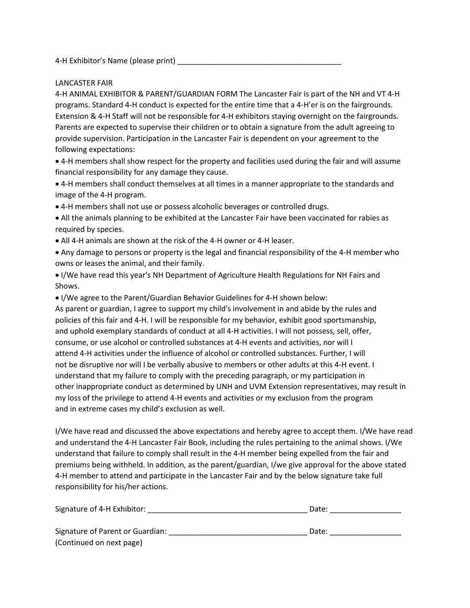4-H Exhibitor's Name (please print)

## LANCASTER FAIR

4‐H ANIMAL EXHIBITOR & PARENT/GUARDIAN FORM The Lancaster Fair is part of the NH and VT 4‐H programs. Standard 4‐H conduct is expected for the entire time that a 4‐H'er is on the fairgrounds. Extension & 4-H Staff will not be responsible for 4-H exhibitors staying overnight on the fairgrounds. Parents are expected to supervise their children or to obtain a signature from the adult agreeing to provide supervision. Participation in the Lancaster Fair is dependent on your agreement to the following expectations:

• 4‐H members shall show respect for the property and facilities used during the fair and will assume financial responsibility for any damage they cause.

• 4‐H members shall conduct themselves at all times in a manner appropriate to the standards and image of the 4‐H program.

• 4‐H members shall not use or possess alcoholic beverages or controlled drugs.

• All the animals planning to be exhibited at the Lancaster Fair have been vaccinated for rabies as required by species.

• All 4‐H animals are shown at the risk of the 4‐H owner or 4‐H leaser.

• Any damage to persons or property is the legal and financial responsibility of the 4‐H member who owns or leases the animal, and their family.

• I/We have read this year's NH Department of Agriculture Health Regulations for NH Fairs and Shows.

• I/We agree to the Parent/Guardian Behavior Guidelines for 4‐H shown below:

As parent or guardian, I agree to support my child's involvement in and abide by the rules and policies of this fair and 4‐H. I will be responsible for my behavior, exhibit good sportsmanship, and uphold exemplary standards of conduct at all 4‐H activities. I will not possess, sell, offer, consume, or use alcohol or controlled substances at 4‐H events and activities, nor will I attend 4‐H activities under the influence of alcohol or controlled substances. Further, I will not be disruptive nor will I be verbally abusive to members or other adults at this 4‐H event. I understand that my failure to comply with the preceding paragraph, or my participation in other inappropriate conduct as determined by UNH and UVM Extension representatives, may result in my loss of the privilege to attend 4‐H events and activities or my exclusion from the program and in extreme cases my child's exclusion as well.

I/We have read and discussed the above expectations and hereby agree to accept them. I/We have read and understand the 4‐H Lancaster Fair Book, including the rules pertaining to the animal shows. I/We understand that failure to comply shall result in the 4‐H member being expelled from the fair and premiums being withheld. In addition, as the parent/guardian, I/we give approval for the above stated 4‐H member to attend and participate in the Lancaster Fair and by the below signature take full responsibility for his/her actions.

| Signature of 4-H Exhibitor:      | Date: |
|----------------------------------|-------|
| Signature of Parent or Guardian: | Date: |
| (Continued on next page)         |       |